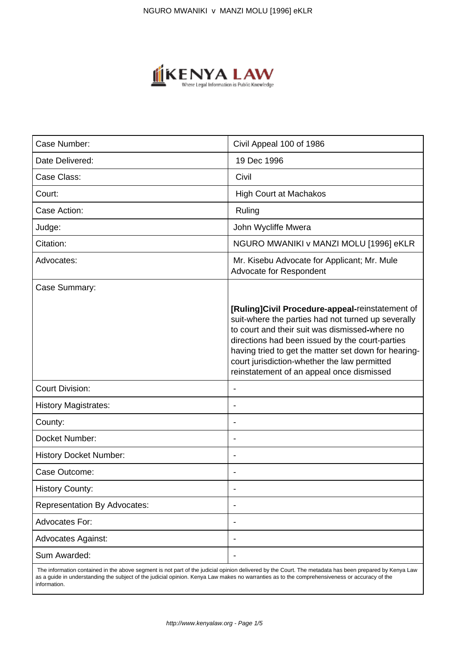

| Case Number:                        | Civil Appeal 100 of 1986                                                                                                                                                                                                                                                                                                                                        |
|-------------------------------------|-----------------------------------------------------------------------------------------------------------------------------------------------------------------------------------------------------------------------------------------------------------------------------------------------------------------------------------------------------------------|
| Date Delivered:                     | 19 Dec 1996                                                                                                                                                                                                                                                                                                                                                     |
| Case Class:                         | Civil                                                                                                                                                                                                                                                                                                                                                           |
| Court:                              | <b>High Court at Machakos</b>                                                                                                                                                                                                                                                                                                                                   |
| Case Action:                        | Ruling                                                                                                                                                                                                                                                                                                                                                          |
| Judge:                              | John Wycliffe Mwera                                                                                                                                                                                                                                                                                                                                             |
| Citation:                           | NGURO MWANIKI v MANZI MOLU [1996] eKLR                                                                                                                                                                                                                                                                                                                          |
| Advocates:                          | Mr. Kisebu Advocate for Applicant; Mr. Mule<br>Advocate for Respondent                                                                                                                                                                                                                                                                                          |
| Case Summary:                       |                                                                                                                                                                                                                                                                                                                                                                 |
|                                     | [Ruling]Civil Procedure-appeal-reinstatement of<br>suit-where the parties had not turned up severally<br>to court and their suit was dismissed-where no<br>directions had been issued by the court-parties<br>having tried to get the matter set down for hearing-<br>court jurisdiction-whether the law permitted<br>reinstatement of an appeal once dismissed |
| <b>Court Division:</b>              |                                                                                                                                                                                                                                                                                                                                                                 |
| <b>History Magistrates:</b>         | $\overline{\phantom{a}}$                                                                                                                                                                                                                                                                                                                                        |
| County:                             |                                                                                                                                                                                                                                                                                                                                                                 |
| Docket Number:                      | $\overline{\phantom{a}}$                                                                                                                                                                                                                                                                                                                                        |
| <b>History Docket Number:</b>       |                                                                                                                                                                                                                                                                                                                                                                 |
| Case Outcome:                       |                                                                                                                                                                                                                                                                                                                                                                 |
| <b>History County:</b>              | $\overline{\phantom{a}}$                                                                                                                                                                                                                                                                                                                                        |
| <b>Representation By Advocates:</b> |                                                                                                                                                                                                                                                                                                                                                                 |
| Advocates For:                      |                                                                                                                                                                                                                                                                                                                                                                 |
| <b>Advocates Against:</b>           |                                                                                                                                                                                                                                                                                                                                                                 |
| Sum Awarded:                        |                                                                                                                                                                                                                                                                                                                                                                 |

 The information contained in the above segment is not part of the judicial opinion delivered by the Court. The metadata has been prepared by Kenya Law as a guide in understanding the subject of the judicial opinion. Kenya Law makes no warranties as to the comprehensiveness or accuracy of the information.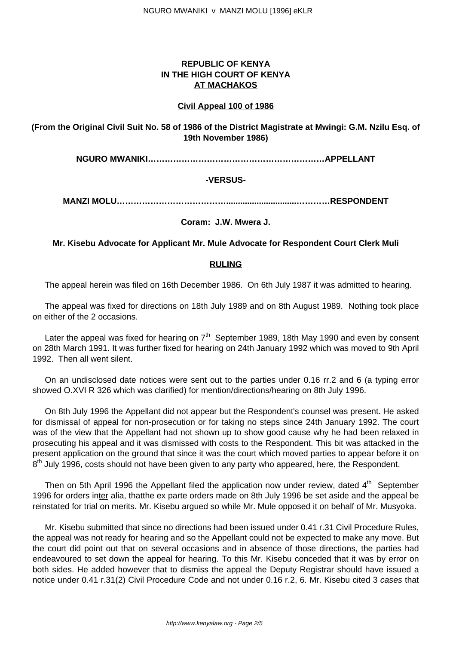# **REPUBLIC OF KENYA IN THE HIGH COURT OF KENYA AT MACHAKOS**

### **Civil Appeal 100 of 1986**

## **(From the Original Civil Suit No. 58 of 1986 of the District Magistrate at Mwingi: G.M. Nzilu Esq. of 19th November 1986)**

**NGURO MWANIKI………………………………………………………APPELLANT**

## **-VERSUS-**

**MANZI MOLU…………………………………..............................…………RESPONDENT**

### **Coram: J.W. Mwera J.**

#### **Mr. Kisebu Advocate for Applicant Mr. Mule Advocate for Respondent Court Clerk Muli**

### **RULING**

The appeal herein was filed on 16th December 1986. On 6th July 1987 it was admitted to hearing.

The appeal was fixed for directions on 18th July 1989 and on 8th August 1989. Nothing took place on either of the 2 occasions.

Later the appeal was fixed for hearing on  $7<sup>th</sup>$  September 1989, 18th May 1990 and even by consent on 28th March 1991. It was further fixed for hearing on 24th January 1992 which was moved to 9th April 1992. Then all went silent.

On an undisclosed date notices were sent out to the parties under 0.16 rr.2 and 6 (a typing error showed O.XVI R 326 which was clarified) for mention/directions/hearing on 8th July 1996.

On 8th July 1996 the Appellant did not appear but the Respondent's counsel was present. He asked for dismissal of appeal for non-prosecution or for taking no steps since 24th January 1992. The court was of the view that the Appellant had not shown up to show good cause why he had been relaxed in prosecuting his appeal and it was dismissed with costs to the Respondent. This bit was attacked in the present application on the ground that since it was the court which moved parties to appear before it on 8<sup>th</sup> July 1996, costs should not have been given to any party who appeared, here, the Respondent.

Then on 5th April 1996 the Appellant filed the application now under review, dated  $4<sup>th</sup>$  September 1996 for orders inter alia, thatthe ex parte orders made on 8th July 1996 be set aside and the appeal be reinstated for trial on merits. Mr. Kisebu argued so while Mr. Mule opposed it on behalf of Mr. Musyoka.

Mr. Kisebu submitted that since no directions had been issued under 0.41 r.31 Civil Procedure Rules, the appeal was not ready for hearing and so the Appellant could not be expected to make any move. But the court did point out that on several occasions and in absence of those directions, the parties had endeavoured to set down the appeal for hearing. To this Mr. Kisebu conceded that it was by error on both sides. He added however that to dismiss the appeal the Deputy Registrar should have issued a notice under 0.41 r.31(2) Civil Procedure Code and not under 0.16 r.2, 6. Mr. Kisebu cited 3 cases that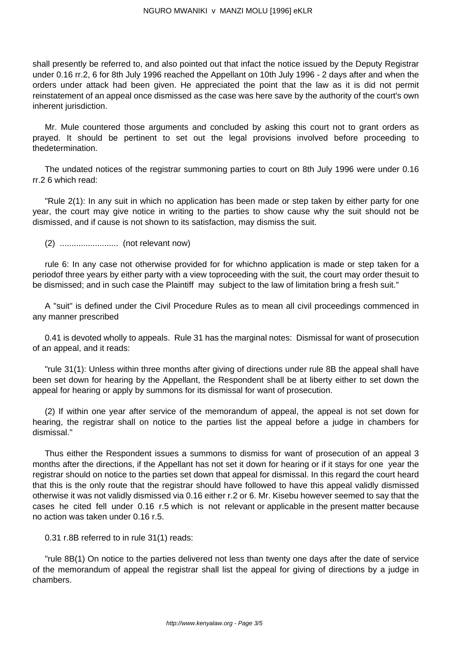shall presently be referred to, and also pointed out that infact the notice issued by the Deputy Registrar under 0.16 rr.2, 6 for 8th July 1996 reached the Appellant on 10th July 1996 - 2 days after and when the orders under attack had been given. He appreciated the point that the law as it is did not permit reinstatement of an appeal once dismissed as the case was here save by the authority of the court's own inherent jurisdiction.

Mr. Mule countered those arguments and concluded by asking this court not to grant orders as prayed. It should be pertinent to set out the legal provisions involved before proceeding to thedetermination.

The undated notices of the registrar summoning parties to court on 8th July 1996 were under 0.16 rr.2 6 which read:

"Rule 2(1): In any suit in which no application has been made or step taken by either party for one year, the court may give notice in writing to the parties to show cause why the suit should not be dismissed, and if cause is not shown to its satisfaction, may dismiss the suit.

(2) ......................... (not relevant now)

rule 6: In any case not otherwise provided for for whichno application is made or step taken for a periodof three years by either party with a view toproceeding with the suit, the court may order thesuit to be dismissed; and in such case the Plaintiff may subject to the law of limitation bring a fresh suit."

A "suit" is defined under the Civil Procedure Rules as to mean all civil proceedings commenced in any manner prescribed

0.41 is devoted wholly to appeals. Rule 31 has the marginal notes: Dismissal for want of prosecution of an appeal, and it reads:

"rule 31(1): Unless within three months after giving of directions under rule 8B the appeal shall have been set down for hearing by the Appellant, the Respondent shall be at liberty either to set down the appeal for hearing or apply by summons for its dismissal for want of prosecution.

(2) If within one year after service of the memorandum of appeal, the appeal is not set down for hearing, the registrar shall on notice to the parties list the appeal before a judge in chambers for dismissal."

Thus either the Respondent issues a summons to dismiss for want of prosecution of an appeal 3 months after the directions, if the Appellant has not set it down for hearing or if it stays for one year the registrar should on notice to the parties set down that appeal for dismissal. In this regard the court heard that this is the only route that the registrar should have followed to have this appeal validly dismissed otherwise it was not validly dismissed via 0.16 either r.2 or 6. Mr. Kisebu however seemed to say that the cases he cited fell under 0.16 r.5 which is not relevant or applicable in the present matter because no action was taken under 0.16 r.5.

0.31 r.8B referred to in rule 31(1) reads:

"rule 8B(1) On notice to the parties delivered not less than twenty one days after the date of service of the memorandum of appeal the registrar shall list the appeal for giving of directions by a judge in chambers.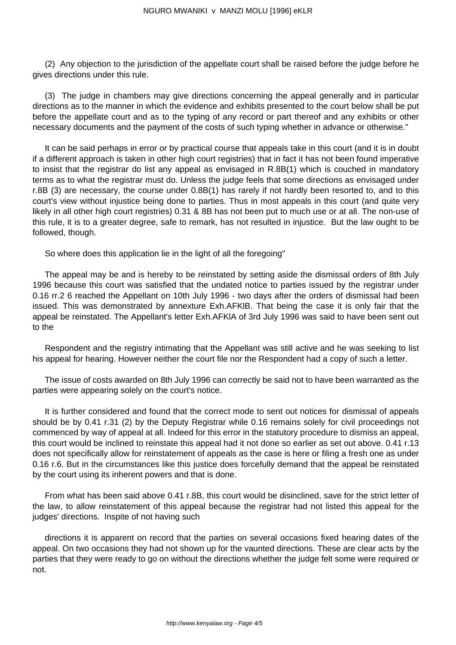(2) Any objection to the jurisdiction of the appellate court shall be raised before the judge before he gives directions under this rule.

(3) The judge in chambers may give directions concerning the appeal generally and in particular directions as to the manner in which the evidence and exhibits presented to the court below shall be put before the appellate court and as to the typing of any record or part thereof and any exhibits or other necessary documents and the payment of the costs of such typing whether in advance or otherwise."

It can be said perhaps in error or by practical course that appeals take in this court (and it is in doubt if a different approach is taken in other high court registries) that in fact it has not been found imperative to insist that the registrar do list any appeal as envisaged in R.8B(1) which is couched in mandatory terms as to what the registrar must do. Unless the judge feels that some directions as envisaged under r.8B (3) are necessary, the course under 0.8B(1) has rarely if not hardly been resorted to, and to this court's view without injustice being done to parties. Thus in most appeals in this court (and quite very likely in all other high court registries) 0.31 & 8B has not been put to much use or at all. The non-use of this rule, it is to a greater degree, safe to remark, has not resulted in injustice. But the law ought to be followed, though.

So where does this application lie in the light of all the foregoing"

The appeal may be and is hereby to be reinstated by setting aside the dismissal orders of 8th July 1996 because this court was satisfied that the undated notice to parties issued by the registrar under 0.16 rr.2 6 reached the Appellant on 10th July 1996 - two days after the orders of dismissal had been issued. This was demonstrated by annexture Exh.AFKlB. That being the case it is only fair that the appeal be reinstated. The Appellant's letter Exh.AFKlA of 3rd July 1996 was said to have been sent out to the

Respondent and the registry intimating that the Appellant was still active and he was seeking to list his appeal for hearing. However neither the court file nor the Respondent had a copy of such a letter.

The issue of costs awarded on 8th July 1996 can correctly be said not to have been warranted as the parties were appearing solely on the court's notice.

It is further considered and found that the correct mode to sent out notices for dismissal of appeals should be by 0.41 r.31 (2) by the Deputy Registrar while 0.16 remains solely for civil proceedings not commenced by way of appeal at all. Indeed for this error in the statutory procedure to dismiss an appeal, this court would be inclined to reinstate this appeal had it not done so earlier as set out above. 0.41 r.13 does not specifically allow for reinstatement of appeals as the case is here or filing a fresh one as under 0.16 r.6. But in the circumstances like this justice does forcefully demand that the appeal be reinstated by the court using its inherent powers and that is done.

From what has been said above 0.41 r.8B, this court would be disinclined, save for the strict letter of the law, to allow reinstatement of this appeal because the registrar had not listed this appeal for the judges' directions. Inspite of not having such

directions it is apparent on record that the parties on several occasions fixed hearing dates of the appeal. On two occasions they had not shown up for the vaunted directions. These are clear acts by the parties that they were ready to go on without the directions whether the judge felt some were required or not.